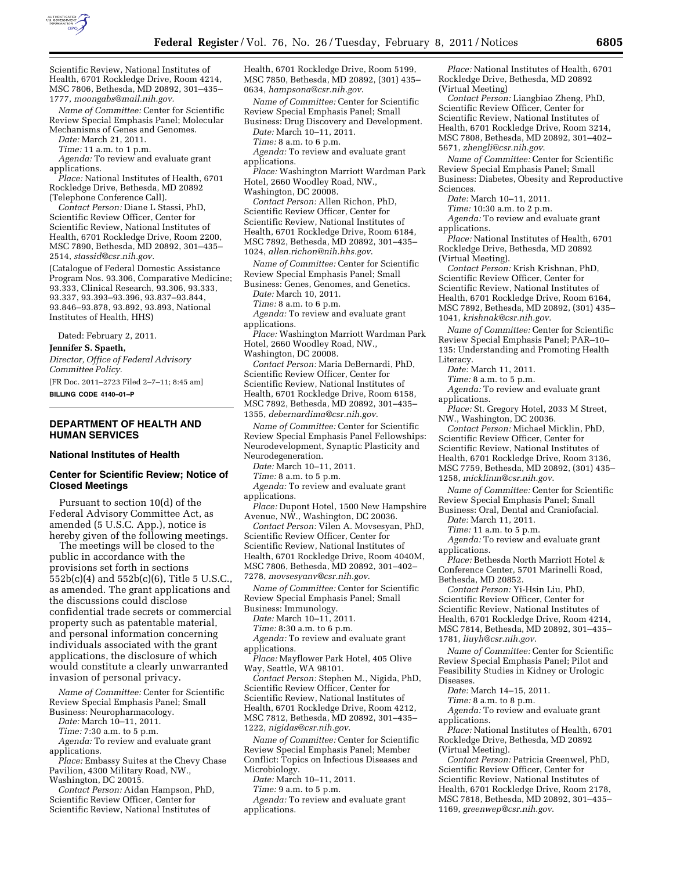

Scientific Review, National Institutes of Health, 6701 Rockledge Drive, Room 4214, MSC 7806, Bethesda, MD 20892, 301–435– 1777, *[moongabs@mail.nih.gov.](mailto:moongabs@mail.nih.gov)* 

*Name of Committee:* Center for Scientific Review Special Emphasis Panel; Molecular Mechanisms of Genes and Genomes.

*Date:* March 21, 2011.

*Time:* 11 a.m. to 1 p.m.

*Agenda:* To review and evaluate grant applications.

*Place:* National Institutes of Health, 6701 Rockledge Drive, Bethesda, MD 20892 (Telephone Conference Call).

*Contact Person:* Diane L Stassi, PhD, Scientific Review Officer, Center for Scientific Review, National Institutes of Health, 6701 Rockledge Drive, Room 2200, MSC 7890, Bethesda, MD 20892, 301–435– 2514, *[stassid@csr.nih.gov.](mailto:stassid@csr.nih.gov)* 

(Catalogue of Federal Domestic Assistance Program Nos. 93.306, Comparative Medicine; 93.333, Clinical Research, 93.306, 93.333, 93.337, 93.393–93.396, 93.837–93.844, 93.846–93.878, 93.892, 93.893, National Institutes of Health, HHS)

Dated: February 2, 2011. **Jennifer S. Spaeth,** 

*Director, Office of Federal Advisory Committee Policy.* 

[FR Doc. 2011–2723 Filed 2–7–11; 8:45 am] **BILLING CODE 4140–01–P** 

## **DEPARTMENT OF HEALTH AND HUMAN SERVICES**

#### **National Institutes of Health**

#### **Center for Scientific Review; Notice of Closed Meetings**

Pursuant to section 10(d) of the Federal Advisory Committee Act, as amended (5 U.S.C. App.), notice is hereby given of the following meetings.

The meetings will be closed to the public in accordance with the provisions set forth in sections  $552b(c)(4)$  and  $552b(c)(6)$ , Title 5 U.S.C. as amended. The grant applications and the discussions could disclose confidential trade secrets or commercial property such as patentable material, and personal information concerning individuals associated with the grant applications, the disclosure of which would constitute a clearly unwarranted invasion of personal privacy.

*Name of Committee:* Center for Scientific Review Special Emphasis Panel; Small Business: Neuropharmacology.

*Date:* March 10–11, 2011.

*Time:* 7:30 a.m. to 5 p.m.

*Agenda:* To review and evaluate grant applications.

*Place:* Embassy Suites at the Chevy Chase Pavilion, 4300 Military Road, NW., Washington, DC 20015.

*Contact Person:* Aidan Hampson, PhD, Scientific Review Officer, Center for Scientific Review, National Institutes of

Health, 6701 Rockledge Drive, Room 5199, MSC 7850, Bethesda, MD 20892, (301) 435– 0634, *[hampsona@csr.nih.gov](mailto:hampsona@csr.nih.gov)*.

*Name of Committee:* Center for Scientific Review Special Emphasis Panel; Small Business: Drug Discovery and Development.

*Date:* March 10–11, 2011. *Time:* 8 a.m. to 6 p.m.

*Agenda:* To review and evaluate grant applications.

*Place:* Washington Marriott Wardman Park Hotel, 2660 Woodley Road, NW.,

Washington, DC 20008.

*Contact Person:* Allen Richon, PhD, Scientific Review Officer, Center for Scientific Review, National Institutes of Health, 6701 Rockledge Drive, Room 6184, MSC 7892, Bethesda, MD 20892, 301–435– 1024, *[allen.richon@nih.hhs.gov](mailto:allen.richon@nih.hhs.gov)*.

*Name of Committee:* Center for Scientific Review Special Emphasis Panel; Small Business: Genes, Genomes, and Genetics.

*Date:* March 10, 2011.

*Time:* 8 a.m. to 6 p.m.

*Agenda:* To review and evaluate grant applications.

*Place:* Washington Marriott Wardman Park Hotel, 2660 Woodley Road, NW.,

Washington, DC 20008.

*Contact Person:* Maria DeBernardi, PhD, Scientific Review Officer, Center for Scientific Review, National Institutes of Health, 6701 Rockledge Drive, Room 6158, MSC 7892, Bethesda, MD 20892, 301–435– 1355, *[debernardima@csr.nih.gov](mailto:debernardima@csr.nih.gov)*.

*Name of Committee:* Center for Scientific Review Special Emphasis Panel Fellowships: Neurodevelopment, Synaptic Plasticity and Neurodegeneration.

*Date:* March 10–11, 2011.

*Time:* 8 a.m. to 5 p.m.

*Agenda:* To review and evaluate grant applications.

*Place:* Dupont Hotel, 1500 New Hampshire Avenue, NW., Washington, DC 20036.

*Contact Person:* Vilen A. Movsesyan, PhD, Scientific Review Officer, Center for Scientific Review, National Institutes of Health, 6701 Rockledge Drive, Room 4040M, MSC 7806, Bethesda, MD 20892, 301–402– 7278, *[movsesyanv@csr.nih.gov](mailto:movsesyanv@csr.nih.gov)*.

*Name of Committee:* Center for Scientific Review Special Emphasis Panel; Small Business: Immunology.

*Date:* March 10–11, 2011.

*Time:* 8:30 a.m. to 6 p.m.

*Agenda:* To review and evaluate grant applications.

*Place:* Mayflower Park Hotel, 405 Olive Way, Seattle, WA 98101.

*Contact Person:* Stephen M., Nigida, PhD, Scientific Review Officer, Center for Scientific Review, National Institutes of Health, 6701 Rockledge Drive, Room 4212, MSC 7812, Bethesda, MD 20892, 301–435– 1222, *[nigidas@csr.nih.gov](mailto:nigidas@csr.nih.gov)*.

*Name of Committee:* Center for Scientific Review Special Emphasis Panel; Member Conflict: Topics on Infectious Diseases and Microbiology.

*Date:* March 10–11, 2011.

*Time:* 9 a.m. to 5 p.m.

*Agenda:* To review and evaluate grant applications.

*Place:* National Institutes of Health, 6701 Rockledge Drive, Bethesda, MD 20892 (Virtual Meeting)

*Contact Person:* Liangbiao Zheng, PhD, Scientific Review Officer, Center for Scientific Review, National Institutes of Health, 6701 Rockledge Drive, Room 3214, MSC 7808, Bethesda, MD 20892, 301–402– 5671, *[zhengli@csr.nih.gov](mailto:zhengli@csr.nih.gov)*.

*Name of Committee:* Center for Scientific Review Special Emphasis Panel; Small Business: Diabetes, Obesity and Reproductive Sciences.

*Date:* March 10–11, 2011.

*Time:* 10:30 a.m. to 2 p.m.

*Agenda:* To review and evaluate grant applications.

*Place:* National Institutes of Health, 6701 Rockledge Drive, Bethesda, MD 20892 (Virtual Meeting).

*Contact Person:* Krish Krishnan, PhD, Scientific Review Officer, Center for Scientific Review, National Institutes of Health, 6701 Rockledge Drive, Room 6164, MSC 7892, Bethesda, MD 20892, (301) 435– 1041, *[krishnak@csr.nih.gov.](mailto:krishnak@csr.nih.gov)* 

*Name of Committee:* Center for Scientific Review Special Emphasis Panel; PAR–10– 135: Understanding and Promoting Health Literacy.

*Date:* March 11, 2011.

*Time:* 8 a.m. to 5 p.m.

*Agenda:* To review and evaluate grant applications.

*Place:* St. Gregory Hotel, 2033 M Street, NW., Washington, DC 20036.

*Contact Person:* Michael Micklin, PhD, Scientific Review Officer, Center for Scientific Review, National Institutes of Health, 6701 Rockledge Drive, Room 3136, MSC 7759, Bethesda, MD 20892, (301) 435– 1258, *[micklinm@csr.nih.gov](mailto:micklinm@csr.nih.gov)*.

*Name of Committee:* Center for Scientific Review Special Emphasis Panel; Small Business: Oral, Dental and Craniofacial.

*Date:* March 11, 2011.

*Time:* 11 a.m. to 5 p.m.

*Agenda:* To review and evaluate grant applications.

*Place:* Bethesda North Marriott Hotel & Conference Center, 5701 Marinelli Road, Bethesda, MD 20852.

*Contact Person:* Yi-Hsin Liu, PhD, Scientific Review Officer, Center for Scientific Review, National Institutes of Health, 6701 Rockledge Drive, Room 4214, MSC 7814, Bethesda, MD 20892, 301–435– 1781, *[liuyh@csr.nih.gov](mailto:liuyh@csr.nih.gov)*.

*Name of Committee:* Center for Scientific Review Special Emphasis Panel; Pilot and Feasibility Studies in Kidney or Urologic Diseases.

*Date:* March 14–15, 2011.

*Time:* 8 a.m. to 8 p.m.

*Agenda:* To review and evaluate grant applications.

*Place:* National Institutes of Health, 6701 Rockledge Drive, Bethesda, MD 20892 (Virtual Meeting).

*Contact Person:* Patricia Greenwel, PhD, Scientific Review Officer, Center for Scientific Review, National Institutes of Health, 6701 Rockledge Drive, Room 2178, MSC 7818, Bethesda, MD 20892, 301–435– 1169, *[greenwep@csr.nih.gov](mailto:greenwep@csr.nih.gov)*.